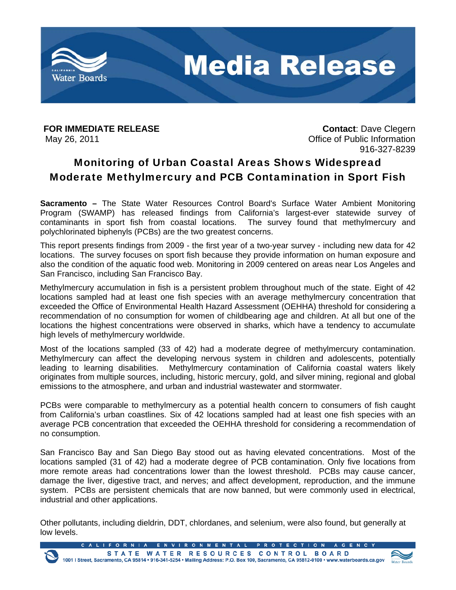

May 26, 2011 **May 26, 2011** CHE 2012 **Office of Public Information** 

**FOR IMMEDIATE RELEASE CONTACT:** Dave Clegern 916-327-8239

# Monitoring of Urban Coastal Areas Shows Widespread Moderate Methylmercury and PCB Contamination in Sport Fish

**Sacramento –** The State Water Resources Control Board's Surface Water Ambient Monitoring Program (SWAMP) has released findings from California's largest-ever statewide survey of contaminants in sport fish from coastal locations. The survey found that methylmercury and polychlorinated biphenyls (PCBs) are the two greatest concerns.

This report presents findings from 2009 - the first year of a two-year survey - including new data for 42 locations. The survey focuses on sport fish because they provide information on human exposure and also the condition of the aquatic food web. Monitoring in 2009 centered on areas near Los Angeles and San Francisco, including San Francisco Bay.

Methylmercury accumulation in fish is a persistent problem throughout much of the state. Eight of 42 locations sampled had at least one fish species with an average methylmercury concentration that exceeded the Office of Environmental Health Hazard Assessment (OEHHA) threshold for considering a recommendation of no consumption for women of childbearing age and children. At all but one of the locations the highest concentrations were observed in sharks, which have a tendency to accumulate high levels of methylmercury worldwide.

Most of the locations sampled (33 of 42) had a moderate degree of methylmercury contamination. Methylmercury can affect the developing nervous system in children and adolescents, potentially leading to learning disabilities. Methylmercury contamination of California coastal waters likely originates from multiple sources, including, historic mercury, gold, and silver mining, regional and global emissions to the atmosphere, and urban and industrial wastewater and stormwater.

PCBs were comparable to methylmercury as a potential health concern to consumers of fish caught from California's urban coastlines. Six of 42 locations sampled had at least one fish species with an average PCB concentration that exceeded the OEHHA threshold for considering a recommendation of no consumption.

San Francisco Bay and San Diego Bay stood out as having elevated concentrations. Most of the locations sampled (31 of 42) had a moderate degree of PCB contamination. Only five locations from more remote areas had concentrations lower than the lowest threshold. PCBs may cause cancer, damage the liver, digestive tract, and nerves; and affect development, reproduction, and the immune system. PCBs are persistent chemicals that are now banned, but were commonly used in electrical, industrial and other applications.

Other pollutants, including dieldrin, DDT, chlordanes, and selenium, were also found, but generally at low levels.

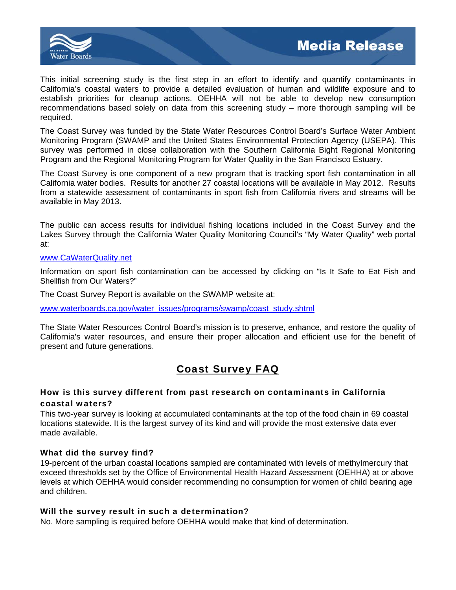

This initial screening study is the first step in an effort to identify and quantify contaminants in California's coastal waters to provide a detailed evaluation of human and wildlife exposure and to establish priorities for cleanup actions. OEHHA will not be able to develop new consumption recommendations based solely on data from this screening study – more thorough sampling will be required.

The Coast Survey was funded by the State Water Resources Control Board's Surface Water Ambient Monitoring Program (SWAMP and the United States Environmental Protection Agency (USEPA). This survey was performed in close collaboration with the Southern California Bight Regional Monitoring Program and the Regional Monitoring Program for Water Quality in the San Francisco Estuary.

The Coast Survey is one component of a new program that is tracking sport fish contamination in all California water bodies. Results for another 27 coastal locations will be available in May 2012. Results from a statewide assessment of contaminants in sport fish from California rivers and streams will be available in May 2013.

The public can access results for individual fishing locations included in the Coast Survey and the Lakes Survey through the California Water Quality Monitoring Council's "My Water Quality" web portal at:

### www.CaWaterQuality.net

Information on sport fish contamination can be accessed by clicking on "Is It Safe to Eat Fish and Shellfish from Our Waters?"

The Coast Survey Report is available on the SWAMP website at:

www.waterboards.ca.gov/water\_issues/programs/swamp/coast\_study.shtml

The State Water Resources Control Board's mission is to preserve, enhance, and restore the quality of California's water resources, and ensure their proper allocation and efficient use for the benefit of present and future generations.

# Coast Survey FAQ

## How is this survey different from past research on contaminants in California coastal waters?

This two-year survey is looking at accumulated contaminants at the top of the food chain in 69 coastal locations statewide. It is the largest survey of its kind and will provide the most extensive data ever made available.

# What did the survey find?

19-percent of the urban coastal locations sampled are contaminated with levels of methylmercury that exceed thresholds set by the Office of Environmental Health Hazard Assessment (OEHHA) at or above levels at which OEHHA would consider recommending no consumption for women of child bearing age and children.

### Will the survey result in such a determination?

No. More sampling is required before OEHHA would make that kind of determination.